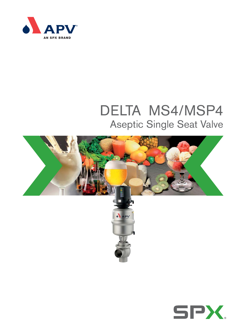

# DELTA MS4/MSP4 Aseptic Single Seat Valve



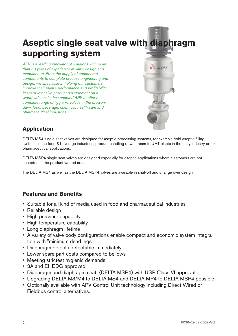# **Aseptic single seat valve with diaphragm supporting system**

*APV is a leading innovator of solutions with more than 50 years of experience in valve design and manufacture. From the supply of engineered components to complete process engineering and design, we specialise in helping our customers improve their plant's performance and profitability. Years of intensive product development on a worldwide scale, has enabled APV to offer a complete range of hygienic valves in the brewery, dairy, food, beverage, chemical, health care and pharmaceutical industries.*



## **Application**

DELTA MS4 single seat valves are designed for aseptic processing systems, for example cold aseptic filling systems in the food & beverage industries, product handling downstream to UHT plants in the dairy industry or for pharmaceutical applications.

DELTA MSP4 single seat valves are designed especially for aseptic applications where elastomers are not accepted in the product wetted areas.

The DELTA MS4 as well as the DELTA MSP4 valves are available in shut-off and change over design.

### **Features and Benefits**

- Suitable for all kind of media used in food and pharmaceutical industries
- Reliable design
- High pressure capability
- High temperature capability
- Long diaphragm lifetime
- A variety of valve body configurations enable compact and economic system integration with "minimum dead legs"
- Diaphragm defects detectable immediately
- Lower spare part costs compared to bellows
- Meeting strictest hygienic demands
- 3A and EHEDG approved
- Diaphragm and diaphragm shaft (DELTA MSP4) with USP Class VI approval
- Upgrading DELTA M3/M4 to DELTA MS4 and DELTA MP4 to DELTA MSP4 possible
- Optionally available with APV Control Unit technology including Direct Wired or Fieldbus control alternatives.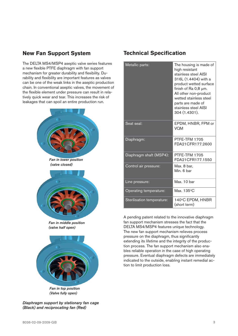### **New Fan Support System**

The DELTA MS4/MSP4 aseptic valve series features a new flexible PTFE diaphragm with fan support mechanism for greater durability and flexibility. Durability and flexibility are important features as valves can be one of the weak links in the aseptic production chain. In conventional aseptic valves, the movement of the flexible element under pressure can result in relatively quick wear and tear. This increases the risk of leakages that can spoil an entire production run.





*Fan in top position (Valve fully open)*

*Diaphragm support by stationary fan cage (Black) and reciprocating fan (Red)*

### **Technical Specification**

| Metallic parts:            | The housing is made of<br>high resistant<br>stainless steel AISI<br>316L (1.4404) with a<br>product wetted surface<br>finish of Ra 0,8 µm.<br>All other non-product<br>wetted stainless steel<br>parts are made of<br>stainless steel AISI<br>304 (1.4301). |
|----------------------------|-------------------------------------------------------------------------------------------------------------------------------------------------------------------------------------------------------------------------------------------------------------|
| Seat seal:                 | EPDM, HNBR, FPM or<br>VQM                                                                                                                                                                                                                                   |
| Diaphragm:                 | PTFE-TFM 1705<br>FDA21CFR177.2600                                                                                                                                                                                                                           |
| Diaphragm shaft (MSP4):    | PTFE-TFM 1705<br>FDA21CFR177.1550                                                                                                                                                                                                                           |
| Control air pressure:      | Max. 8 bar,<br>Min. 6 bar                                                                                                                                                                                                                                   |
| Line pressure:             | Max. 10 bar                                                                                                                                                                                                                                                 |
| Operating temperature:     | Max. 135°C                                                                                                                                                                                                                                                  |
| Sterilisation temperature: | 140°C EPDM, HNBR<br>(short term)                                                                                                                                                                                                                            |

A pending patent related to the innovative diaphragm fan support mechanism stresses the fact that the DELTA MS4/MSP4 features unique technology. The new fan support mechanism relieves process pressure on the diaphragm, thus significantly extending its lifetime and the integrity of the production process. The fan support mechanism also enables reliable operation in the case of high operating pressure. Eventual diaphragm defects are immediately indicated to the outside, enabling instant remedial action to limit production loss.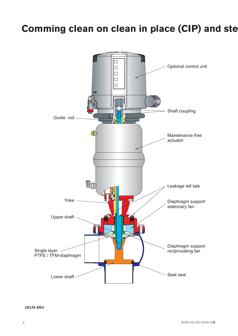# **Comming clean on clean in place (CIP) and ste**

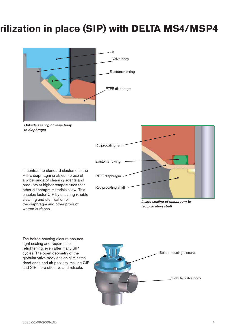# **rilization in place (SIP) with DELTA MS4/MSP4**





In contrast to standard elastomers, the PTFE diaphragm enables the use of a wide range of cleaning agents and products at higher temperatures than other diaphragm materials allow. This enables faster CIP by ensuring reliable cleaning and sterilisation of the diaphragm and other product wetted surfaces.



The bolted housing closure ensures tight sealing and requires no retightening, even after many SIP cycles. The open geometry of the globular valve body design eliminates dead ends and air pockets, making CIP and SIP more effective and reliable.

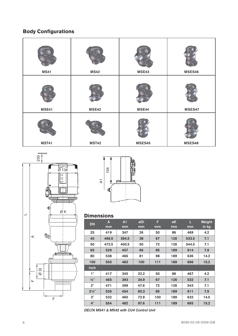# **Body Configurations**

| <b>MS41</b>                  | <b>MS42</b>  | MSE43         | MSES46 |  |
|------------------------------|--------------|---------------|--------|--|
| MSE41                        | <b>MSE42</b> | MSE44         | MSES47 |  |
| <b>MST41</b><br><b>MST42</b> |              | <b>MSES45</b> | MSES48 |  |





### **Dimensions**

| 104<br>⊧<br>$\overline{\mathbf{r}}$<br>Æ<br>щ<br><b>Dimensions</b> |                         |       |      |     |     |       |                             |  |  |
|--------------------------------------------------------------------|-------------------------|-------|------|-----|-----|-------|-----------------------------|--|--|
|                                                                    | $\overline{\mathbf{A}}$ | A1    | øDi  | F   | øK  | L     | <b>Weight</b>               |  |  |
| <b>DN</b>                                                          | mm                      | mm    | mm   | mm  | mm  | mm    | $\overline{\mathsf{in}}$ kg |  |  |
| 25                                                                 | 419                     | 347   | 26   | 50  | 86  | 469   | 4.2                         |  |  |
| 40                                                                 | 466.5                   | 394.5 | 38   | 67  | 126 | 533.5 | 7.1                         |  |  |
| 50                                                                 | 472.5                   | 400.5 | 50   | 72  | 126 | 544.5 | 7.1                         |  |  |
| 65                                                                 | 529                     | 457   | 66   | 85  | 189 | 614   | 7.9                         |  |  |
| 80                                                                 | 538                     | 466   | 81   | 98  | 189 | 636   | 14.2                        |  |  |
| 100                                                                | 555                     | 483   | 100  | 111 | 189 | 666   | 15.2                        |  |  |
| Inch                                                               |                         |       |      |     |     |       |                             |  |  |
| 1"                                                                 | 417                     | 345   | 22.2 | 50  | 86  | 467   | 4.2                         |  |  |
| $1/2$ "                                                            | 465                     | 393   | 34.9 | 67  | 126 | 532   | 7.1                         |  |  |
| 2"                                                                 | 471                     | 399   | 47.6 | 72  | 126 | 543   | 7.1                         |  |  |
| $2\frac{1}{2}$ "                                                   | 526                     | 454   | 60.3 | 85  | 189 | 611   | 7.9                         |  |  |
| 3"                                                                 | 532                     | 460   | 72.9 | 100 | 189 | 632   | 14.5                        |  |  |
| 4"                                                                 | 554                     | 482   | 97.6 | 111 | 189 | 665   | 15.2                        |  |  |

*DELTA MS41 & MS42 with CU4 Control Unit*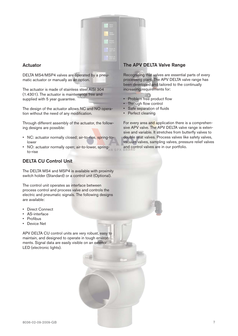

#### **Actuator**

DELTA MS4/MSP4 valves are operated by a pneumatic actuator or manually as an option.

The actuator is made of stainless steel AISI 304 (1.4301). The actuator is maintenance free and supplied with 5 year guarantee.

The design of the actuator allows NC and NO operation without the need of any modification.

Through different assembly of the actuator, the following designs are possible:

- NC: actuator normally closed; air-to-rise, spring-tolower
- NO: actuator normally open; air-to-lower, springto-rise

#### **DELTA CU Control Unit**

The DELTA MS4 and MSP4 is available with proximity switch holder (Standard) or a control unit (Optional).

The control unit operates as interface between process control and process valve and controls the electric and pneumatic signals. The following designs are available:

- Direct Connect
- AS-interface
- Profibus
- Device Net

APV DELTA CU control units are very robust, easy to maintain, and designed to operate in tough environments. Signal data are easily visible on an exterior LED (electronic lights).

#### **The APV DELTA Valve Range**

Recognising that valves are essential parts of every processing plant. The APV DELTA valve range has been developed and tailored to the continually increasing requirements for:

- Problem free product flow
- Through flow control
- Safe separation of fluids
- Perfect cleaning

For every area and application there is a comprehensive APV valve. The APV DELTA valve range is extensive and variable. It stretches from butterfly valves to double seat valves. Process valves like safety valves, vacuum valves, sampling valves, pressure relief valves and control valves are in our portfolio.